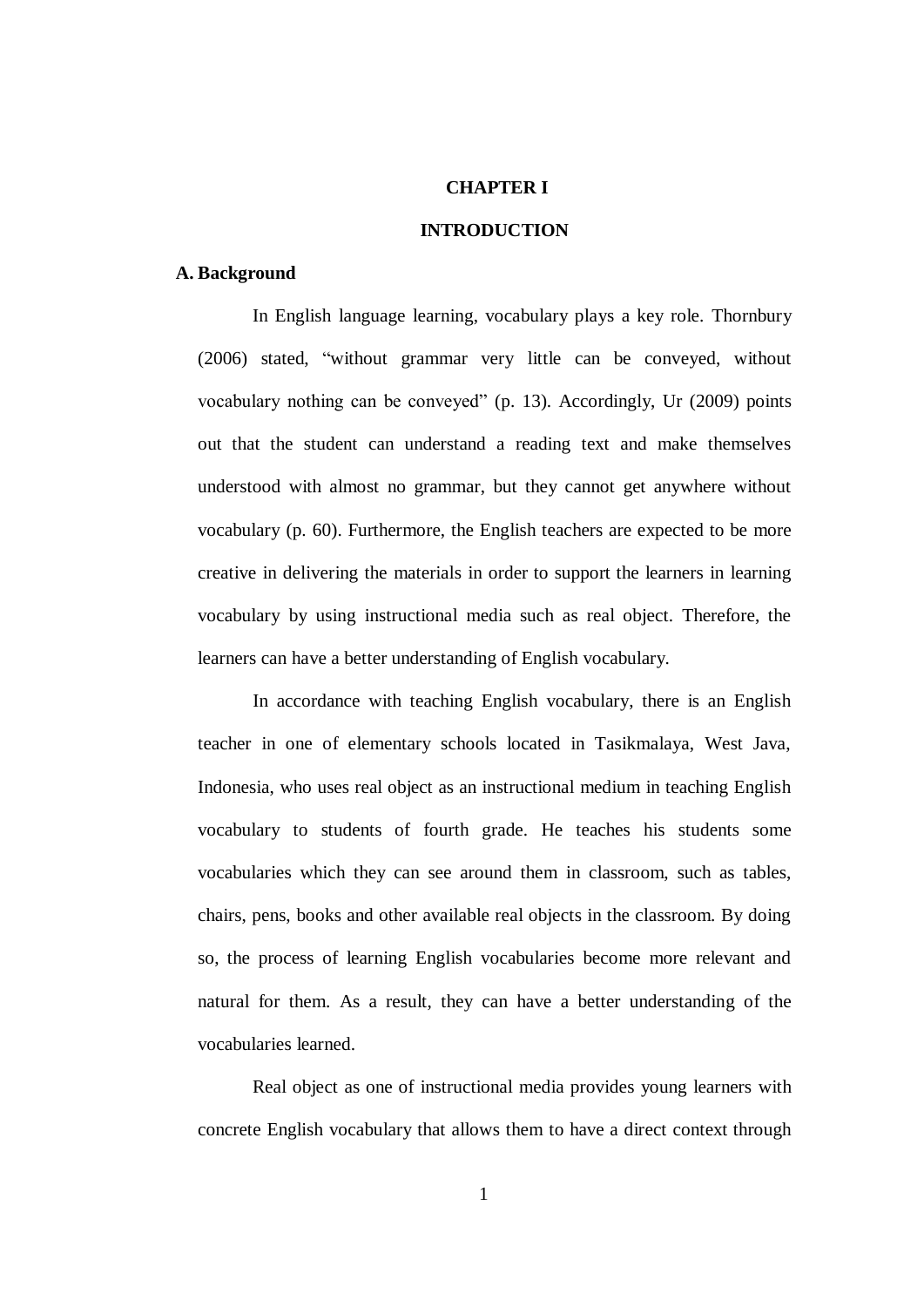### **CHAPTER I**

# **INTRODUCTION**

#### **A. Background**

 In English language learning, vocabulary plays a key role. Thornbury (2006) stated, "without grammar very little can be conveyed, without vocabulary nothing can be conveyed" (p. 13). Accordingly, Ur (2009) points out that the student can understand a reading text and make themselves understood with almost no grammar, but they cannot get anywhere without vocabulary (p. 60). Furthermore, the English teachers are expected to be more creative in delivering the materials in order to support the learners in learning vocabulary by using instructional media such as real object. Therefore, the learners can have a better understanding of English vocabulary.

In accordance with teaching English vocabulary, there is an English teacher in one of elementary schools located in Tasikmalaya, West Java, Indonesia, who uses real object as an instructional medium in teaching English vocabulary to students of fourth grade. He teaches his students some vocabularies which they can see around them in classroom, such as tables, chairs, pens, books and other available real objects in the classroom. By doing so, the process of learning English vocabularies become more relevant and natural for them. As a result, they can have a better understanding of the vocabularies learned.

 Real object as one of instructional media provides young learners with concrete English vocabulary that allows them to have a direct context through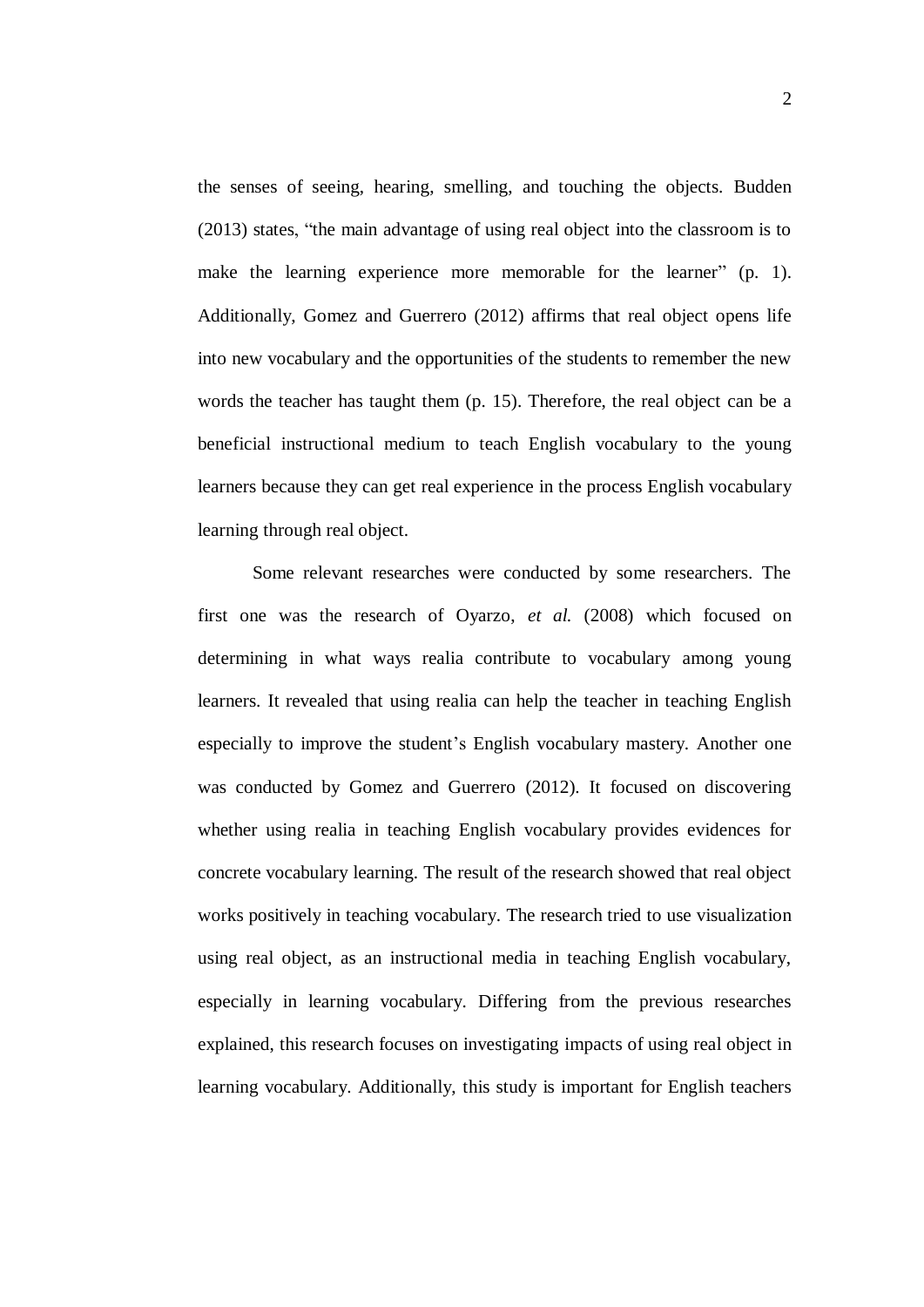the senses of seeing, hearing, smelling, and touching the objects. Budden (2013) states, "the main advantage of using real object into the classroom is to make the learning experience more memorable for the learner" (p. 1). Additionally, Gomez and Guerrero (2012) affirms that real object opens life into new vocabulary and the opportunities of the students to remember the new words the teacher has taught them (p. 15). Therefore, the real object can be a beneficial instructional medium to teach English vocabulary to the young learners because they can get real experience in the process English vocabulary learning through real object.

 Some relevant researches were conducted by some researchers. The first one was the research of Oyarzo, *et al.* (2008) which focused on determining in what ways realia contribute to vocabulary among young learners. It revealed that using realia can help the teacher in teaching English especially to improve the student's English vocabulary mastery. Another one was conducted by Gomez and Guerrero (2012). It focused on discovering whether using realia in teaching English vocabulary provides evidences for concrete vocabulary learning. The result of the research showed that real object works positively in teaching vocabulary. The research tried to use visualization using real object, as an instructional media in teaching English vocabulary, especially in learning vocabulary. Differing from the previous researches explained, this research focuses on investigating impacts of using real object in learning vocabulary. Additionally, this study is important for English teachers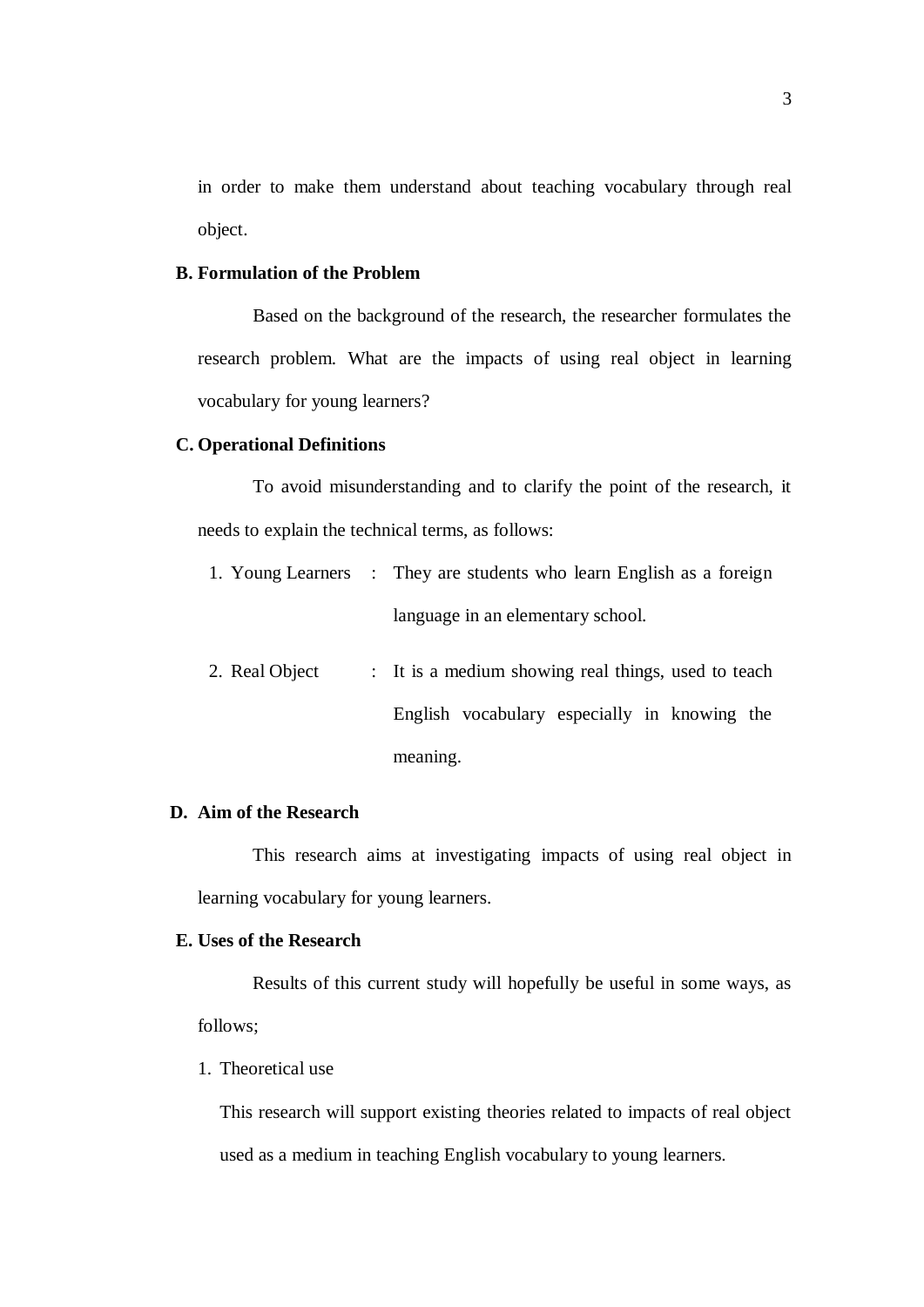in order to make them understand about teaching vocabulary through real object.

## **B. Formulation of the Problem**

Based on the background of the research, the researcher formulates the research problem. What are the impacts of using real object in learning vocabulary for young learners?

### **C. Operational Definitions**

To avoid misunderstanding and to clarify the point of the research, it needs to explain the technical terms, as follows:

- 1. Young Learners : They are students who learn English as a foreign language in an elementary school.
- 2. Real Object : It is a medium showing real things, used to teach English vocabulary especially in knowing the meaning.

# **D. Aim of the Research**

This research aims at investigating impacts of using real object in learning vocabulary for young learners.

### **E. Uses of the Research**

Results of this current study will hopefully be useful in some ways, as follows;

### 1. Theoretical use

This research will support existing theories related to impacts of real object used as a medium in teaching English vocabulary to young learners.